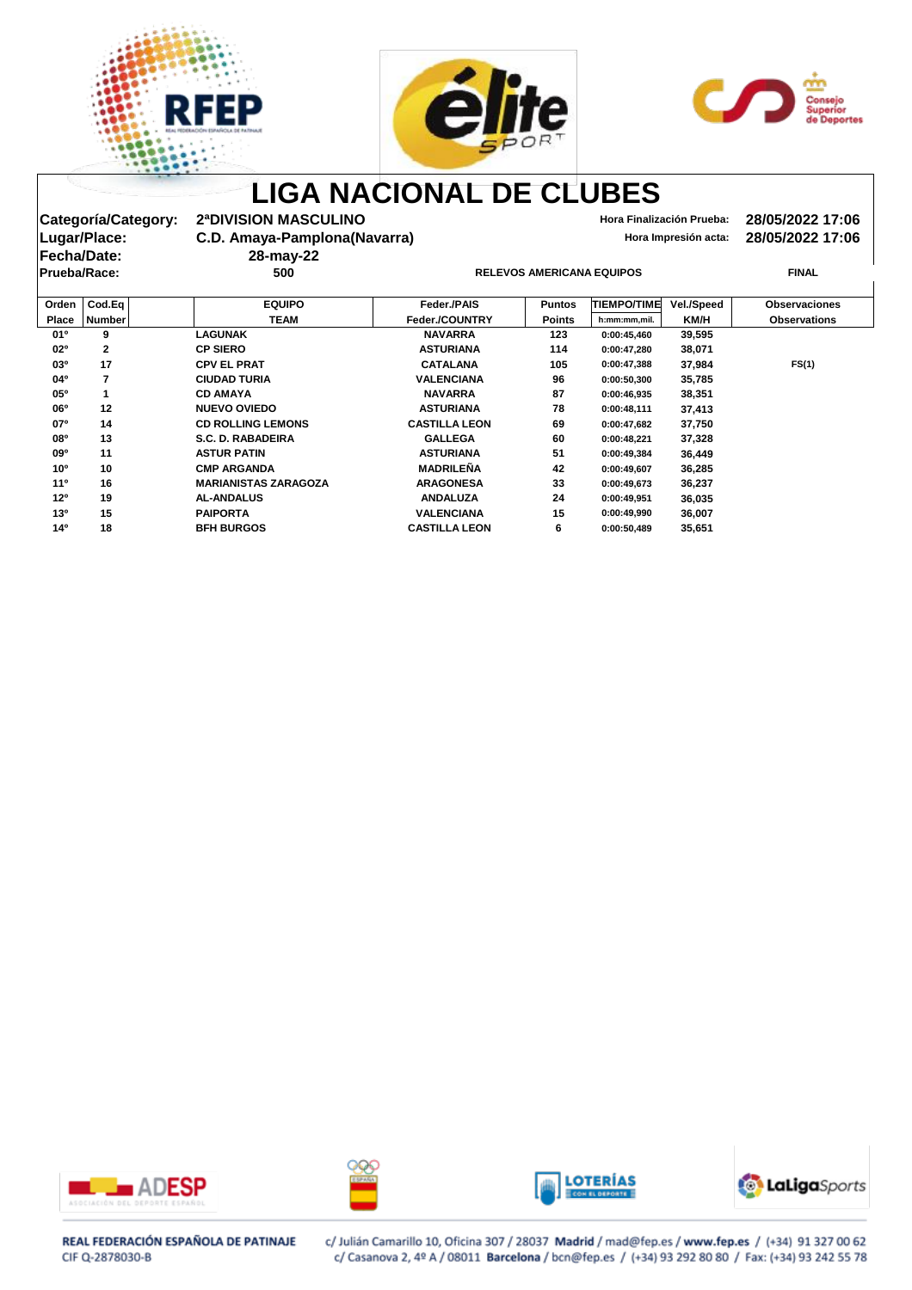





Categoría/Category: 2ªDIVISION MASCULINO<br>Lugar/Place: C.D. Amaya-Pamplona(Navarra) **Macculisis acta: 28/05/2022 17:06**<br>Hora Impresión acta: 28/05/2022 17:06 **C.D. Amaya-Pamplona(Navarra) Hora Impresión acta: 28/05/2022 17:06**<br>28-may-22 **Prueba/Race: 500 RELEVOS AMERICANA EQUIPOS FINAL**

**Fecha/Date: 28-may-22**

| Orden           | $\textsf{CodEq}\vert$ | <b>EQUIPO</b>               | <b>Feder /PAIS</b>   | <b>Puntos</b> | <b>TIEMPO/TIME</b> | <b>Vel./Speed</b> | <b>Observaciones</b> |
|-----------------|-----------------------|-----------------------------|----------------------|---------------|--------------------|-------------------|----------------------|
| <b>Place</b>    | <b>Number</b>         | <b>TEAM</b>                 | Feder./COUNTRY       | <b>Points</b> | h:mm:mm,mil.       | KM/H              | <b>Observations</b>  |
| $01^{\circ}$    | 9                     | <b>LAGUNAK</b>              | <b>NAVARRA</b>       | 123           | 0:00:45,460        | 39,595            |                      |
| $02^{\circ}$    | $\mathbf{2}$          | <b>CP SIERO</b>             | <b>ASTURIANA</b>     | 114           | 0:00:47,280        | 38,071            |                      |
| 03 <sup>o</sup> | 17                    | <b>CPV EL PRAT</b>          | <b>CATALANA</b>      | 105           | 0:00:47,388        | 37,984            | FS(1)                |
| $04^{\circ}$    |                       | <b>CIUDAD TURIA</b>         | <b>VALENCIANA</b>    | 96            | 0:00:50,300        | 35,785            |                      |
| 05 <sup>o</sup> |                       | <b>CD AMAYA</b>             | <b>NAVARRA</b>       | 87            | 0:00:46.935        | 38,351            |                      |
| 06 <sup>o</sup> | 12                    | <b>NUEVO OVIEDO</b>         | <b>ASTURIANA</b>     | 78            | 0:00:48,111        | 37,413            |                      |
| 07 <sup>o</sup> | 14                    | <b>CD ROLLING LEMONS</b>    | <b>CASTILLA LEON</b> | 69            | 0:00:47,682        | 37,750            |                      |
| 080             | 13                    | S.C. D. RABADEIRA           | <b>GALLEGA</b>       | 60            | 0:00:48,221        | 37,328            |                      |
| 09 <sup>o</sup> | 11                    | <b>ASTUR PATIN</b>          | <b>ASTURIANA</b>     | 51            | 0:00:49.384        | 36,449            |                      |
| 10 <sup>o</sup> | 10                    | <b>CMP ARGANDA</b>          | <b>MADRILEÑA</b>     | 42            | 0:00:49,607        | 36,285            |                      |
| 11 <sup>0</sup> | 16                    | <b>MARIANISTAS ZARAGOZA</b> | <b>ARAGONESA</b>     | 33            | 0:00:49.673        | 36,237            |                      |
| 12 <sup>o</sup> | 19                    | <b>AL-ANDALUS</b>           | <b>ANDALUZA</b>      | 24            | 0:00:49.951        | 36,035            |                      |
| 13 <sup>0</sup> | 15                    | <b>PAIPORTA</b>             | <b>VALENCIANA</b>    | 15            | 0:00:49.990        | 36,007            |                      |
| 14 <sup>0</sup> | 18                    | <b>BFH BURGOS</b>           | <b>CASTILLA LEON</b> | 6             | 0:00:50,489        | 35,651            |                      |









### REAL FEDERACIÓN ESPAÑOLA DE PATINAJE CIF Q-2878030-B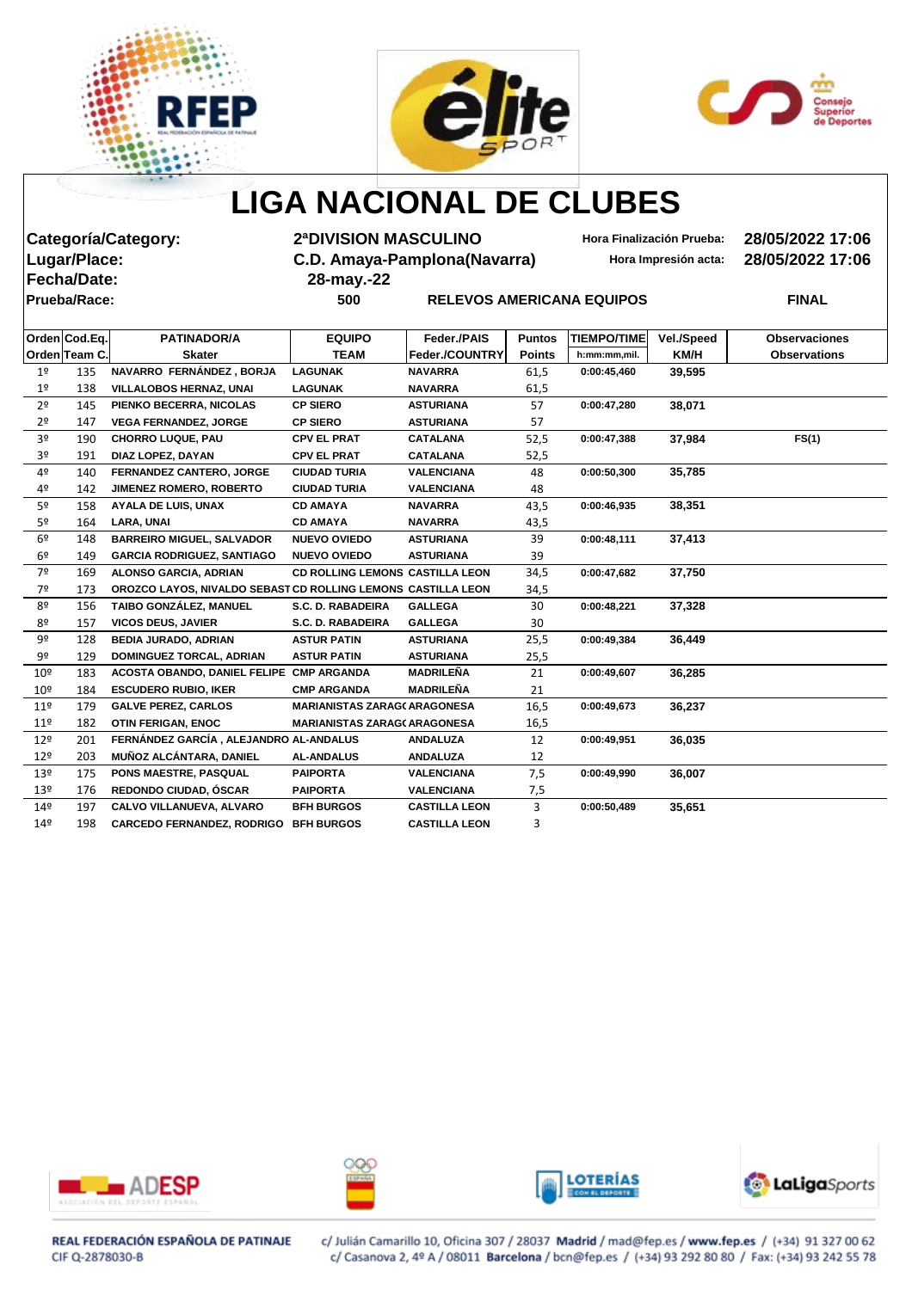





|                 |                     | Categoría/Category:                                          | <b>2ªDIVISION MASCULINO</b>         |                                  |               |                    | Hora Finalización Prueba: | 28/05/2022 17:06     |
|-----------------|---------------------|--------------------------------------------------------------|-------------------------------------|----------------------------------|---------------|--------------------|---------------------------|----------------------|
|                 | Lugar/Place:        |                                                              | C.D. Amaya-Pamplona(Navarra)        |                                  |               |                    | Hora Impresión acta:      | 28/05/2022 17:06     |
|                 | <b>Fecha/Date:</b>  |                                                              | 28-may.-22                          |                                  |               |                    |                           |                      |
|                 | <b>Prueba/Race:</b> |                                                              | 500                                 | <b>RELEVOS AMERICANA EQUIPOS</b> |               |                    |                           | <b>FINAL</b>         |
|                 |                     |                                                              |                                     |                                  |               |                    |                           |                      |
|                 | Orden Cod.Eq.       | <b>PATINADOR/A</b>                                           | <b>EQUIPO</b>                       | Feder./PAIS                      | <b>Puntos</b> | <b>TIEMPO/TIME</b> | Vel./Speed                | <b>Observaciones</b> |
|                 | Orden Team C.       | <b>Skater</b>                                                | <b>TEAM</b>                         | Feder./COUNTRY                   | <b>Points</b> | h:mm:mm,mil.       | KM/H                      | <b>Observations</b>  |
| $1^{\sf o}$     | 135                 | NAVARRO FERNÁNDEZ, BORJA                                     | <b>LAGUNAK</b>                      | <b>NAVARRA</b>                   | 61,5          | 0:00:45,460        | 39,595                    |                      |
| 1 <sup>°</sup>  | 138                 | <b>VILLALOBOS HERNAZ, UNAI</b>                               | LAGUNAK                             | <b>NAVARRA</b>                   | 61,5          |                    |                           |                      |
| 2 <sup>o</sup>  | 145                 | PIENKO BECERRA, NICOLAS                                      | <b>CP SIERO</b>                     | <b>ASTURIANA</b>                 | 57            | 0:00:47,280        | 38,071                    |                      |
| 2 <sup>o</sup>  | 147                 | <b>VEGA FERNANDEZ, JORGE</b>                                 | <b>CP SIERO</b>                     | <b>ASTURIANA</b>                 | 57            |                    |                           |                      |
| 3 <sup>o</sup>  | 190                 | <b>CHORRO LUQUE, PAU</b>                                     | <b>CPV EL PRAT</b>                  | <b>CATALANA</b>                  | 52,5          | 0:00:47,388        | 37,984                    | FS(1)                |
| 3º              | 191                 | DIAZ LOPEZ, DAYAN                                            | <b>CPV EL PRAT</b>                  | <b>CATALANA</b>                  | 52,5          |                    |                           |                      |
| 4º              | 140                 | FERNANDEZ CANTERO, JORGE                                     | <b>CIUDAD TURIA</b>                 | <b>VALENCIANA</b>                | 48            | 0:00:50,300        | 35,785                    |                      |
| 4º              | 142                 | JIMENEZ ROMERO, ROBERTO                                      | <b>CIUDAD TURIA</b>                 | <b>VALENCIANA</b>                | 48            |                    |                           |                      |
| 5º              | 158                 | <b>AYALA DE LUIS, UNAX</b>                                   | <b>CD AMAYA</b>                     | <b>NAVARRA</b>                   | 43,5          | 0:00:46,935        | 38,351                    |                      |
| 5 <sup>o</sup>  | 164                 | <b>LARA, UNAI</b>                                            | <b>CD AMAYA</b>                     | <b>NAVARRA</b>                   | 43,5          |                    |                           |                      |
| 6 <sup>°</sup>  | 148                 | <b>BARREIRO MIGUEL, SALVADOR</b>                             | <b>NUEVO OVIEDO</b>                 | <b>ASTURIANA</b>                 | 39            | 0:00:48,111        | 37,413                    |                      |
| 6 <sup>°</sup>  | 149                 | <b>GARCIA RODRIGUEZ, SANTIAGO</b>                            | <b>NUEVO OVIEDO</b>                 | <b>ASTURIANA</b>                 | 39            |                    |                           |                      |
| 7 <sup>°</sup>  | 169                 | <b>ALONSO GARCIA, ADRIAN</b>                                 | CD ROLLING LEMONS CASTILLA LEON     |                                  | 34,5          | 0:00:47,682        | 37,750                    |                      |
| 7º              | 173                 | OROZCO LAYOS, NIVALDO SEBAST CD ROLLING LEMONS CASTILLA LEON |                                     |                                  | 34,5          |                    |                           |                      |
| 8º              | 156                 | TAIBO GONZÁLEZ, MANUEL                                       | S.C. D. RABADEIRA                   | <b>GALLEGA</b>                   | 30            | 0:00:48,221        | 37,328                    |                      |
| 8º              | 157                 | <b>VICOS DEUS, JAVIER</b>                                    | S.C. D. RABADEIRA                   | <b>GALLEGA</b>                   | 30            |                    |                           |                      |
| 9º              | 128                 | <b>BEDIA JURADO, ADRIAN</b>                                  | <b>ASTUR PATIN</b>                  | <b>ASTURIANA</b>                 | 25,5          | 0:00:49,384        | 36,449                    |                      |
| 9º              | 129                 | <b>DOMINGUEZ TORCAL, ADRIAN</b>                              | <b>ASTUR PATIN</b>                  | <b>ASTURIANA</b>                 | 25,5          |                    |                           |                      |
| 10 <sup>°</sup> | 183                 | ACOSTA OBANDO, DANIEL FELIPE CMP ARGANDA                     |                                     | <b>MADRILEÑA</b>                 | 21            | 0:00:49,607        | 36,285                    |                      |
| 10 <sup>°</sup> | 184                 | <b>ESCUDERO RUBIO, IKER</b>                                  | <b>CMP ARGANDA</b>                  | <b>MADRILEÑA</b>                 | 21            |                    |                           |                      |
| 11 <sup>°</sup> | 179                 | <b>GALVE PEREZ, CARLOS</b>                                   | <b>MARIANISTAS ZARAG(ARAGONESA</b>  |                                  | 16,5          | 0:00:49,673        | 36,237                    |                      |
| 11 <sup>°</sup> | 182                 | <b>OTIN FERIGAN, ENOC</b>                                    | <b>MARIANISTAS ZARAG( ARAGONESA</b> |                                  | 16,5          |                    |                           |                      |
| 12 <sup>°</sup> | 201                 | FERNÁNDEZ GARCÍA, ALEJANDRO AL-ANDALUS                       |                                     | <b>ANDALUZA</b>                  | 12            | 0:00:49,951        | 36,035                    |                      |
| 12 <sup>°</sup> | 203                 | MUÑOZ ALCÁNTARA, DANIEL                                      | <b>AL-ANDALUS</b>                   | <b>ANDALUZA</b>                  | 12            |                    |                           |                      |
| 13º             | 175                 | PONS MAESTRE, PASQUAL                                        | PAIPORTA                            | <b>VALENCIANA</b>                | 7,5           | 0:00:49,990        | 36,007                    |                      |
| 13º             | 176                 | REDONDO CIUDAD, ÓSCAR                                        | <b>PAIPORTA</b>                     | <b>VALENCIANA</b>                | 7,5           |                    |                           |                      |
| 14º             | 197                 | CALVO VILLANUEVA, ALVARO                                     | <b>BFH BURGOS</b>                   | <b>CASTILLA LEON</b>             | 3             | 0:00:50,489        | 35,651                    |                      |
| 14º             | 198                 | <b>CARCEDO FERNANDEZ, RODRIGO</b>                            | <b>BFH BURGOS</b>                   | <b>CASTILLA LEON</b>             | 3             |                    |                           |                      |









REAL FEDERACIÓN ESPAÑOLA DE PATINAJE CIF Q-2878030-B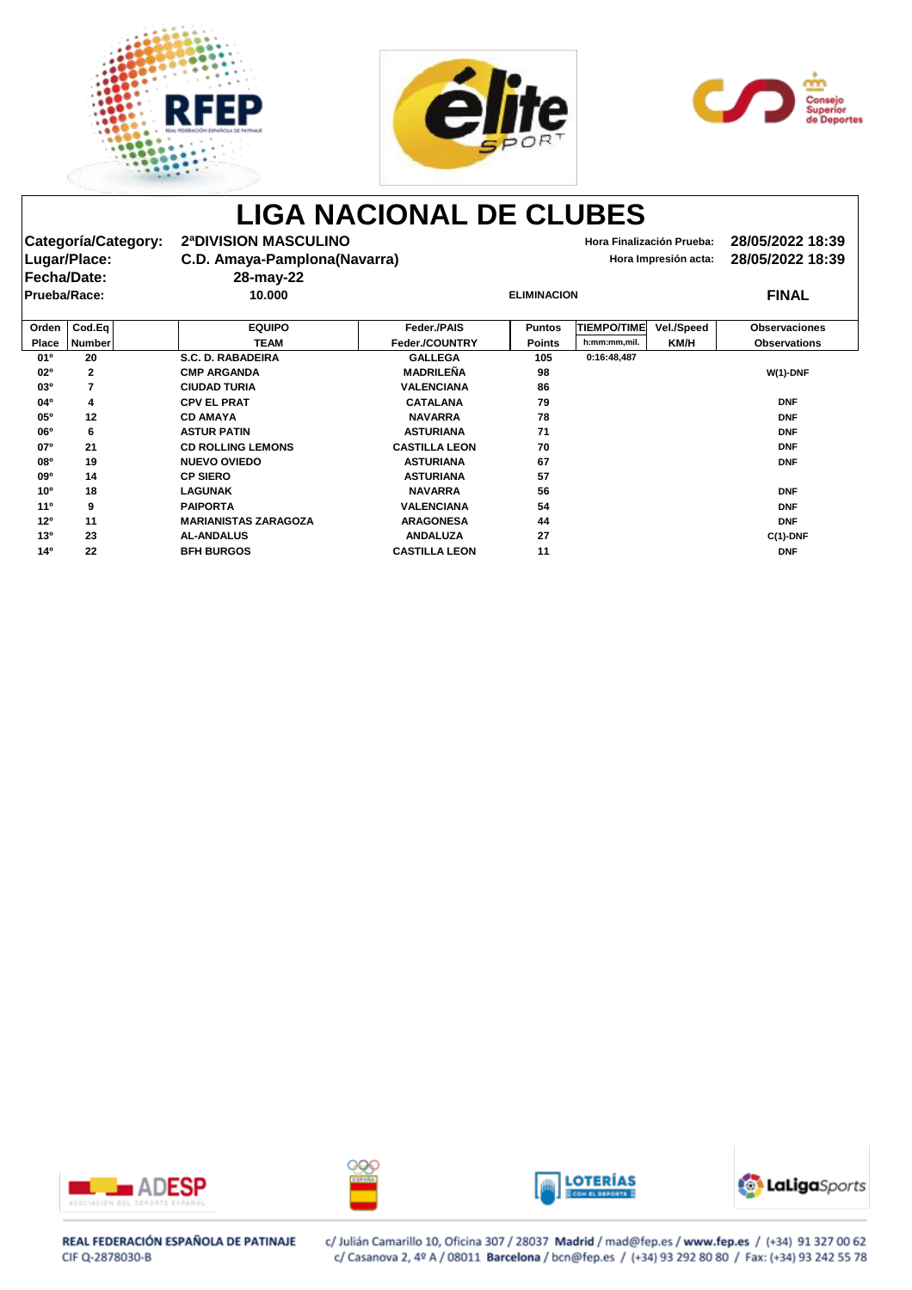





|                 | Categoría/Category:     | 2ª DIVISION MASCULINO        |                      |                    |                    | Hora Finalización Prueba: | 28/05/2022 18:39     |
|-----------------|-------------------------|------------------------------|----------------------|--------------------|--------------------|---------------------------|----------------------|
|                 | Lugar/Place:            | C.D. Amaya-Pamplona(Navarra) |                      |                    |                    | Hora Impresión acta:      | 28/05/2022 18:39     |
|                 | <b>Fecha/Date:</b>      | 28-may-22                    |                      |                    |                    |                           |                      |
| Prueba/Race:    |                         | 10.000                       |                      | <b>ELIMINACION</b> |                    |                           | <b>FINAL</b>         |
| Orden           | Cod.Eq                  | <b>EQUIPO</b>                | Feder./PAIS          | <b>Puntos</b>      | <b>TIEMPO/TIME</b> | <b>Vel./Speed</b>         | <b>Observaciones</b> |
| <b>Place</b>    | <b>Number</b>           | <b>TEAM</b>                  | Feder./COUNTRY       | <b>Points</b>      | h:mm:mm,mil.       | KM/H                      | <b>Observations</b>  |
| 01º             | 20                      | <b>S.C. D. RABADEIRA</b>     | <b>GALLEGA</b>       | 105                | 0:16:48,487        |                           |                      |
| 02º             | $\mathbf{2}$            | <b>CMP ARGANDA</b>           | <b>MADRILEÑA</b>     | 98                 |                    |                           | $W(1)$ -DNF          |
| 03°             | $\overline{\mathbf{7}}$ | <b>CIUDAD TURIA</b>          | <b>VALENCIANA</b>    | 86                 |                    |                           |                      |
| 04°             | 4                       | <b>CPV EL PRAT</b>           | <b>CATALANA</b>      | 79                 |                    |                           | <b>DNF</b>           |
| 05°             | 12                      | <b>CD AMAYA</b>              | <b>NAVARRA</b>       | 78                 |                    |                           | <b>DNF</b>           |
| 06 <sup>o</sup> | 6                       | <b>ASTUR PATIN</b>           | <b>ASTURIANA</b>     | 71                 |                    |                           | <b>DNF</b>           |
| 07°             | 21                      | <b>CD ROLLING LEMONS</b>     | <b>CASTILLA LEON</b> | 70                 |                    |                           | <b>DNF</b>           |
| <b>08°</b>      | 19                      | <b>NUEVO OVIEDO</b>          | <b>ASTURIANA</b>     | 67                 |                    |                           | <b>DNF</b>           |
| 09 <sup>o</sup> | 14                      | <b>CP SIERO</b>              | <b>ASTURIANA</b>     | 57                 |                    |                           |                      |
| 10 <sup>o</sup> | 18                      | <b>LAGUNAK</b>               | <b>NAVARRA</b>       | 56                 |                    |                           | <b>DNF</b>           |
| $11^{\circ}$    | 9                       | <b>PAIPORTA</b>              | <b>VALENCIANA</b>    | 54                 |                    |                           | <b>DNF</b>           |
| 12 <sup>o</sup> | 11                      | <b>MARIANISTAS ZARAGOZA</b>  | <b>ARAGONESA</b>     | 44                 |                    |                           | <b>DNF</b>           |
| 130             | 23                      | <b>AL-ANDALUS</b>            | <b>ANDALUZA</b>      | 27                 |                    |                           | $C(1)$ -DNF          |
| 14 <sup>0</sup> | 22                      | <b>BFH BURGOS</b>            | <b>CASTILLA LEON</b> | 11                 |                    |                           | <b>DNF</b>           |









### REAL FEDERACIÓN ESPAÑOLA DE PATINAJE CIF Q-2878030-B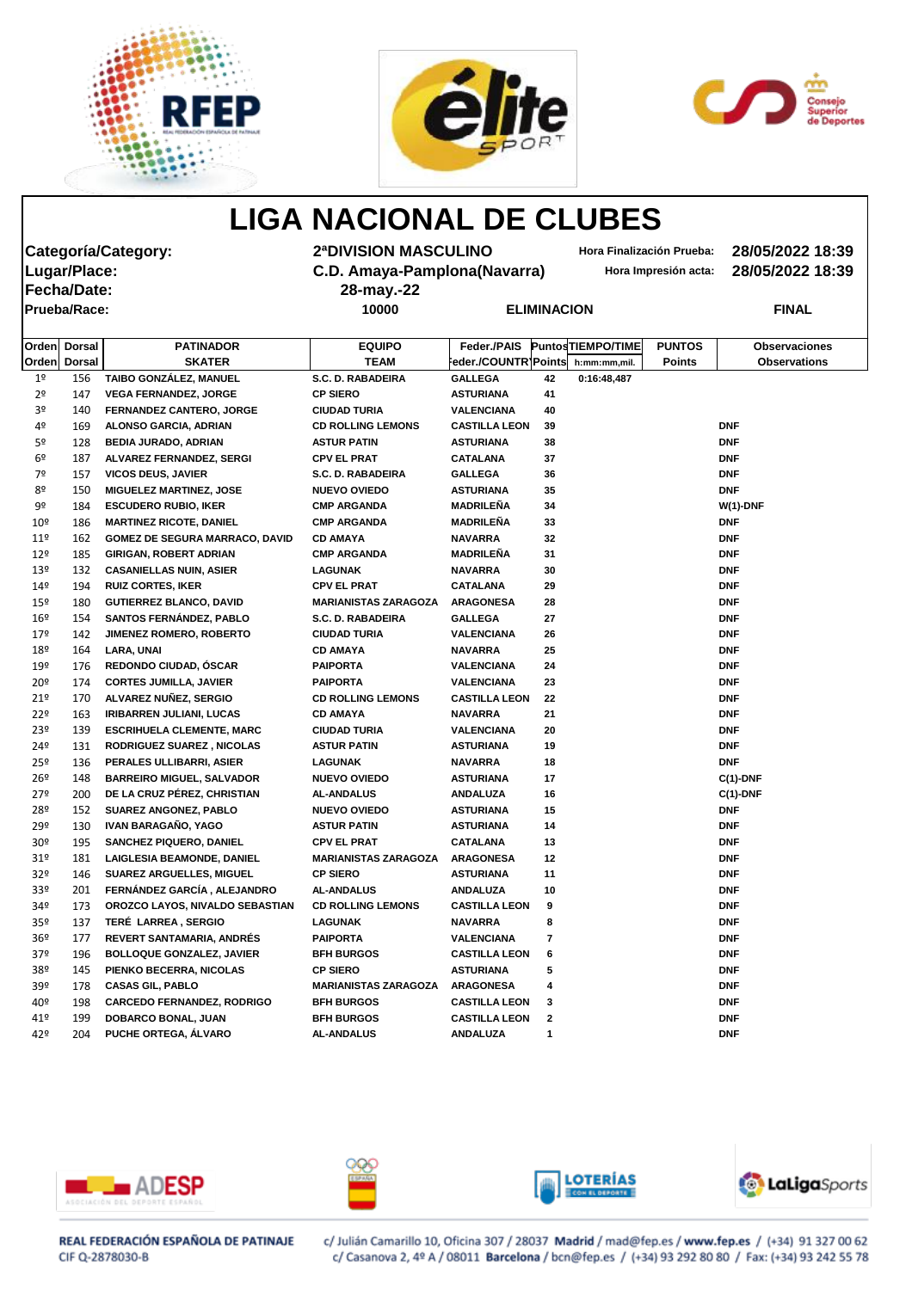





| Categoría/Category: |               |                                       | 2ª DIVISION MASCULINO        |                      |    | Hora Finalización Prueba: |                      | 28/05/2022 18:39     |  |
|---------------------|---------------|---------------------------------------|------------------------------|----------------------|----|---------------------------|----------------------|----------------------|--|
| Lugar/Place:        |               |                                       | C.D. Amaya-Pamplona(Navarra) |                      |    |                           | Hora Impresión acta: | 28/05/2022 18:39     |  |
|                     | Fecha/Date:   |                                       | 28-may.-22                   |                      |    |                           |                      |                      |  |
| Prueba/Race:        |               |                                       | 10000<br><b>ELIMINACION</b>  |                      |    |                           |                      | <b>FINAL</b>         |  |
|                     |               |                                       |                              |                      |    |                           |                      |                      |  |
| <b>Orden</b>        | <b>Dorsal</b> | <b>PATINADOR</b>                      | <b>EQUIPO</b>                | Feder./PAIS          |    | <b>PuntosTIEMPO/TIME</b>  | <b>PUNTOS</b>        | <b>Observaciones</b> |  |
| Orden               | <b>Dorsal</b> | <b>SKATER</b>                         | <b>TEAM</b>                  | Feder./COUNTR\Points |    | h:mm:mm,mil.              | <b>Points</b>        | <b>Observations</b>  |  |
| 1 <sup>°</sup>      | 156           | TAIBO GONZÁLEZ, MANUEL                | <b>S.C. D. RABADEIRA</b>     | <b>GALLEGA</b>       | 42 | 0:16:48,487               |                      |                      |  |
| 2 <sup>o</sup>      | 147           | <b>VEGA FERNANDEZ, JORGE</b>          | <b>CP SIERO</b>              | <b>ASTURIANA</b>     | 41 |                           |                      |                      |  |
| 3 <sup>o</sup>      | 140           | <b>FERNANDEZ CANTERO, JORGE</b>       | <b>CIUDAD TURIA</b>          | <b>VALENCIANA</b>    | 40 |                           |                      |                      |  |
| 4º                  | 169           | ALONSO GARCIA, ADRIAN                 | <b>CD ROLLING LEMONS</b>     | <b>CASTILLA LEON</b> | 39 |                           |                      | <b>DNF</b>           |  |
| 5 <sup>o</sup>      | 128           | <b>BEDIA JURADO, ADRIAN</b>           | <b>ASTUR PATIN</b>           | <b>ASTURIANA</b>     | 38 |                           |                      | <b>DNF</b>           |  |
| 6º                  | 187           | ALVAREZ FERNANDEZ, SERGI              | <b>CPV EL PRAT</b>           | <b>CATALANA</b>      | 37 |                           |                      | <b>DNF</b>           |  |
| 7º                  | 157           | <b>VICOS DEUS, JAVIER</b>             | S.C. D. RABADEIRA            | <b>GALLEGA</b>       | 36 |                           |                      | <b>DNF</b>           |  |
| 8º                  | 150           | <b>MIGUELEZ MARTINEZ, JOSE</b>        | <b>NUEVO OVIEDO</b>          | <b>ASTURIANA</b>     | 35 |                           |                      | <b>DNF</b>           |  |
| 9º                  | 184           | <b>ESCUDERO RUBIO, IKER</b>           | <b>CMP ARGANDA</b>           | <b>MADRILEÑA</b>     | 34 |                           |                      | $W(1)$ -DNF          |  |
| 10 <sup>°</sup>     | 186           | <b>MARTINEZ RICOTE, DANIEL</b>        | <b>CMP ARGANDA</b>           | <b>MADRILEÑA</b>     | 33 |                           |                      | <b>DNF</b>           |  |
| $11^{\circ}$        | 162           | <b>GOMEZ DE SEGURA MARRACO, DAVID</b> | <b>CD AMAYA</b>              | <b>NAVARRA</b>       | 32 |                           |                      | <b>DNF</b>           |  |
| $12^{\circ}$        | 185           | <b>GIRIGAN, ROBERT ADRIAN</b>         | <b>CMP ARGANDA</b>           | <b>MADRILEÑA</b>     | 31 |                           |                      | <b>DNF</b>           |  |
| 13 <sup>°</sup>     | 132           | <b>CASANIELLAS NUIN, ASIER</b>        | <b>LAGUNAK</b>               | <b>NAVARRA</b>       | 30 |                           |                      | <b>DNF</b>           |  |
| 149                 | 194           | <b>RUIZ CORTES, IKER</b>              | <b>CPV EL PRAT</b>           | <b>CATALANA</b>      | 29 |                           |                      | <b>DNF</b>           |  |
| $15^{\circ}$        | 180           | <b>GUTIERREZ BLANCO, DAVID</b>        | <b>MARIANISTAS ZARAGOZA</b>  | <b>ARAGONESA</b>     | 28 |                           |                      | <b>DNF</b>           |  |
| $16^{\circ}$        | 154           | <b>SANTOS FERNÁNDEZ, PABLO</b>        | S.C. D. RABADEIRA            | <b>GALLEGA</b>       | 27 |                           |                      | <b>DNF</b>           |  |
| $17^{\circ}$        | 142           | JIMENEZ ROMERO, ROBERTO               | <b>CIUDAD TURIA</b>          | <b>VALENCIANA</b>    | 26 |                           |                      | <b>DNF</b>           |  |
| 18º                 | 164           | <b>LARA, UNAI</b>                     | <b>CD AMAYA</b>              | <b>NAVARRA</b>       | 25 |                           |                      | <b>DNF</b>           |  |
| 19º                 | 176           | REDONDO CIUDAD, ÓSCAR                 | <b>PAIPORTA</b>              | <b>VALENCIANA</b>    | 24 |                           |                      | <b>DNF</b>           |  |
| 20 <sup>°</sup>     | 174           | <b>CORTES JUMILLA, JAVIER</b>         | <b>PAIPORTA</b>              | <b>VALENCIANA</b>    | 23 |                           |                      | <b>DNF</b>           |  |
| 21°                 | 170           | ALVAREZ NUÑEZ, SERGIO                 | <b>CD ROLLING LEMONS</b>     | <b>CASTILLA LEON</b> | 22 |                           |                      | <b>DNF</b>           |  |
| 22°                 | 163           | <b>IRIBARREN JULIANI, LUCAS</b>       | <b>CD AMAYA</b>              | <b>NAVARRA</b>       | 21 |                           |                      | <b>DNF</b>           |  |
| 23 <sup>°</sup>     | 139           | <b>ESCRIHUELA CLEMENTE, MARC</b>      | <b>CIUDAD TURIA</b>          | <b>VALENCIANA</b>    | 20 |                           |                      | <b>DNF</b>           |  |
| $24^{\circ}$        | 131           | <b>RODRIGUEZ SUAREZ, NICOLAS</b>      | <b>ASTUR PATIN</b>           | <b>ASTURIANA</b>     | 19 |                           |                      | <b>DNF</b>           |  |
| 25 <sup>°</sup>     | 136           | PERALES ULLIBARRI, ASIER              | <b>LAGUNAK</b>               | <b>NAVARRA</b>       | 18 |                           |                      | <b>DNF</b>           |  |
| 26º                 | 148           | <b>BARREIRO MIGUEL, SALVADOR</b>      | <b>NUEVO OVIEDO</b>          | <b>ASTURIANA</b>     | 17 |                           |                      | $C(1)$ -DNF          |  |
| $27^{\circ}$        | 200           | DE LA CRUZ PÉREZ, CHRISTIAN           | <b>AL-ANDALUS</b>            | <b>ANDALUZA</b>      | 16 |                           |                      | $C(1)$ -DNF          |  |
| 28º                 | 152           | <b>SUAREZ ANGONEZ, PABLO</b>          | <b>NUEVO OVIEDO</b>          | <b>ASTURIANA</b>     | 15 |                           |                      | <b>DNF</b>           |  |
| 29º                 | 130           | IVAN BARAGAÑO, YAGO                   | <b>ASTUR PATIN</b>           | <b>ASTURIANA</b>     | 14 |                           |                      | <b>DNF</b>           |  |
| 30 <sup>°</sup>     | 195           | <b>SANCHEZ PIQUERO, DANIEL</b>        | <b>CPV EL PRAT</b>           | <b>CATALANA</b>      | 13 |                           |                      | <b>DNF</b>           |  |
| 31 <sup>°</sup>     | 181           | <b>LAIGLESIA BEAMONDE, DANIEL</b>     | <b>MARIANISTAS ZARAGOZA</b>  | <b>ARAGONESA</b>     | 12 |                           |                      | <b>DNF</b>           |  |
| 32 <sup>o</sup>     | 146           | <b>SUAREZ ARGUELLES, MIGUEL</b>       | <b>CP SIERO</b>              | <b>ASTURIANA</b>     | 11 |                           |                      | <b>DNF</b>           |  |
| 33º                 | 201           | FERNÁNDEZ GARCÍA, ALEJANDRO           | <b>AL-ANDALUS</b>            | <b>ANDALUZA</b>      | 10 |                           |                      | <b>DNF</b>           |  |
| 34º                 | 173           | OROZCO LAYOS, NIVALDO SEBASTIAN       | <b>CD ROLLING LEMONS</b>     | <b>CASTILLA LEON</b> | 9  |                           |                      | <b>DNF</b>           |  |
| 35 <sup>°</sup>     | 137           | TERÉ LARREA, SERGIO                   | <b>LAGUNAK</b>               | <b>NAVARRA</b>       | 8  |                           |                      | <b>DNF</b>           |  |
| 36 <sup>°</sup>     | 177           | REVERT SANTAMARIA, ANDRÉS             | <b>PAIPORTA</b>              | <b>VALENCIANA</b>    | 7  |                           |                      | <b>DNF</b>           |  |
| 37 <sup>°</sup>     | 196           | <b>BOLLOQUE GONZALEZ, JAVIER</b>      | <b>BFH BURGOS</b>            | <b>CASTILLA LEON</b> | 6  |                           |                      | <b>DNF</b>           |  |
| 38º                 | 145           | PIENKO BECERRA, NICOLAS               | <b>CP SIERO</b>              | <b>ASTURIANA</b>     | 5  |                           |                      | <b>DNF</b>           |  |
| 39º                 | 178           | <b>CASAS GIL, PABLO</b>               | <b>MARIANISTAS ZARAGOZA</b>  | <b>ARAGONESA</b>     | 4  |                           |                      | <b>DNF</b>           |  |

| 40º | 198 | <b>CARCEDO FERNANDEZ. RODRIGO</b> | <b>BFH BURGOS</b> | <b>CASTILLA LEON</b> | <b>DNF</b> |
|-----|-----|-----------------------------------|-------------------|----------------------|------------|
| 41º | 199 | <b>DOBARCO BONAL, JUAN</b>        | <b>BFH BURGOS</b> | <b>CASTILLA LEON</b> | <b>DNF</b> |
| 42º | 204 | <b>PUCHE ORTEGA, ALVARO</b>       | <b>AL-ANDALUS</b> | <b>ANDALUZA</b>      | <b>DNF</b> |



# ∼





#### REAL FEDERACIÓN ESPAÑOLA DE PATINAJE CIF Q-2878030-B